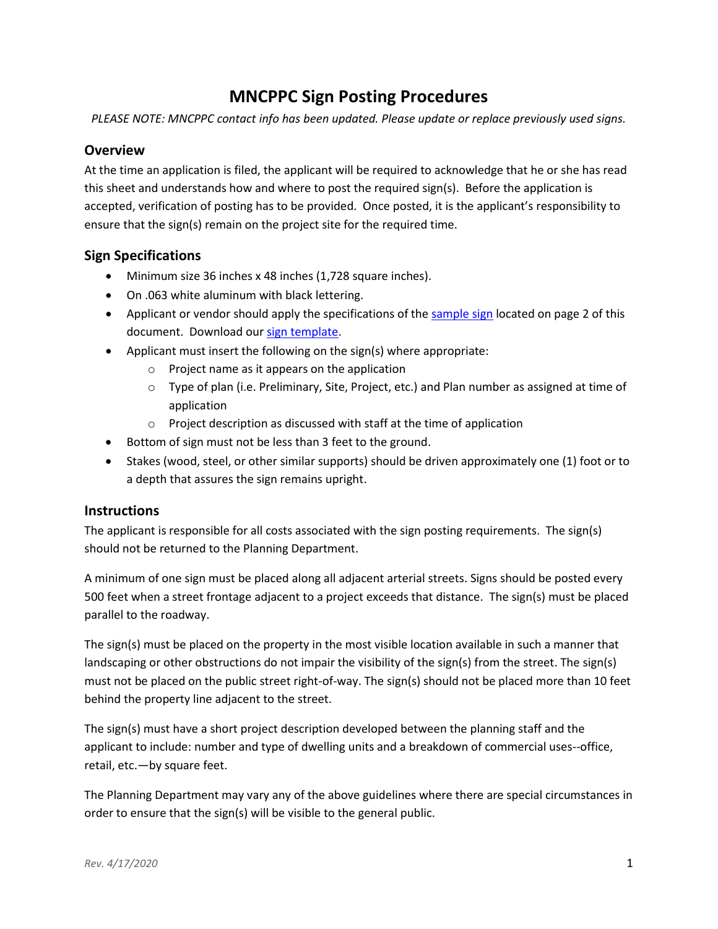# **MNCPPC Sign Posting Procedures**

*PLEASE NOTE: MNCPPC contact info has been updated. Please update or replace previously used signs.* 

### **Overview**

At the time an application is filed, the applicant will be required to acknowledge that he or she has read this sheet and understands how and where to post the required sign(s). Before the application is accepted, verification of posting has to be provided. Once posted, it is the applicant's responsibility to ensure that the sign(s) remain on the project site for the required time.

## **Sign Specifications**

- Minimum size 36 inches x 48 inches (1,728 square inches).
- On .063 white aluminum with black lettering.
- Applicant or vendor should apply the specifications of the [sample sign](#page-1-0) located on page 2 of this document. Download ou[r sign template.](http://montgomeryplanning.org/development/forms/Sign_Template.ppt)
- Applicant must insert the following on the sign(s) where appropriate:
	- o Project name as it appears on the application
	- o Type of plan (i.e. Preliminary, Site, Project, etc.) and Plan number as assigned at time of application
	- o Project description as discussed with staff at the time of application
- Bottom of sign must not be less than 3 feet to the ground.
- Stakes (wood, steel, or other similar supports) should be driven approximately one (1) foot or to a depth that assures the sign remains upright.

### **Instructions**

The applicant is responsible for all costs associated with the sign posting requirements. The sign(s) should not be returned to the Planning Department.

A minimum of one sign must be placed along all adjacent arterial streets. Signs should be posted every 500 feet when a street frontage adjacent to a project exceeds that distance. The sign(s) must be placed parallel to the roadway.

The sign(s) must be placed on the property in the most visible location available in such a manner that landscaping or other obstructions do not impair the visibility of the sign(s) from the street. The sign(s) must not be placed on the public street right-of-way. The sign(s) should not be placed more than 10 feet behind the property line adjacent to the street.

The sign(s) must have a short project description developed between the planning staff and the applicant to include: number and type of dwelling units and a breakdown of commercial uses--office, retail, etc.—by square feet.

The Planning Department may vary any of the above guidelines where there are special circumstances in order to ensure that the sign(s) will be visible to the general public.